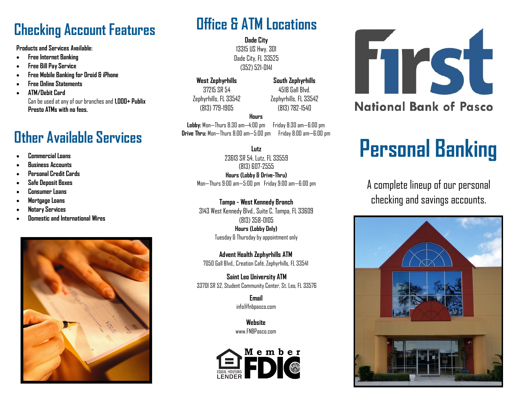## **Checking Account Features**

**Products and Services Available:**

- **Free Internet Banking**
- **Free Bill Pay Service**
- **Free Mobile Banking for Droid & iPhone**
- **Free Online Statements**
- **ATM/Debit Card** Can be used at any of our branches and **1,000+ Publix Presto ATMs with no fees.**

## **Other Available Services**

- **Commercial Loans**
- **Business Accounts**
- **Personal Credit Cards**
- **Safe Deposit Boxes**
- **Consumer Loans**
- **Mortgage Loans**
- **Notary Services**
- **Domestic and International Wires**



## **Office & ATM Locations**

**Dade City** 13315 US Hwy. 301 Dade City, FL 33525 (352) 521-0141

**West Zephyrhills** 37215 SR 54 Zephyrhills, FL 33542 (813) 779-1905

**South Zephyrhills** 4518 Gall Blvd. Zephyrhills, FL 33542 (813) 782-1540

#### **Hours**

**Lobby:** Mon—Thurs 8:30 am—4:00 pm Friday 8:30 am—6:00 pm **Drive Thru:** Mon—Thurs 8:00 am—5:00 pm Friday 8:00 am—6:00 pm

#### **Lutz**

23613 SR 54, Lutz, FL 33559 (813) 607-2555 **Hours (Lobby & Drive-Thru)** Mon—Thurs 9:00 am—5:00 pm Friday 9:00 am—6:00 pm

### **Tampa - West Kennedy Branch**

3143 West Kennedy Blvd., Suite C, Tampa, FL 33609 (813) 358-0105 **Hours (Lobby Only)** Tuesday & Thursday by appointment only

**Advent Health Zephyrhills ATM** 7050 Gall Blvd,, Creation Café, Zephyrhills, FL 33541

**Saint Leo University ATM** 33701 SR 52, Student Community Center, St. Leo, FL 33576

> **Email** info@fnbpasco.com

**Website** www.FNRPasco.com





# **Personal Banking**

A complete lineup of our personal checking and savings accounts.